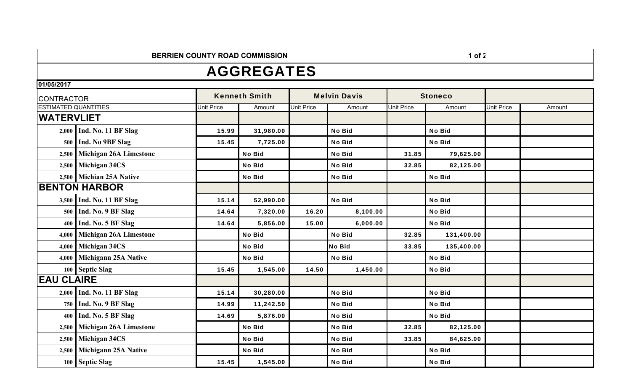**BERRIEN COUNTY ROAD COMMISSION** 

## 1 of  $2$

## AGGREGATES

**01/05/2017**

| <b>CONTRACTOR</b>           |                               | <b>Kenneth Smith</b> |               | <b>Melvin Davis</b> |               | <b>Stoneco</b>    |               |                   |        |
|-----------------------------|-------------------------------|----------------------|---------------|---------------------|---------------|-------------------|---------------|-------------------|--------|
| <b>ESTIMATED QUANTITIES</b> |                               | <b>Unit Price</b>    | Amount        | <b>Unit Price</b>   | Amount        | <b>Unit Price</b> | Amount        | <b>Unit Price</b> | Amount |
| <b>WATERVLIET</b>           |                               |                      |               |                     |               |                   |               |                   |        |
| 2,000                       | Ind. No. 11 BF Slag           | 15.99                | 31,980.00     |                     | <b>No Bid</b> |                   | <b>No Bid</b> |                   |        |
| 500                         | Ind. No 9BF Slag              | 15.45                | 7,725.00      |                     | No Bid        |                   | <b>No Bid</b> |                   |        |
| 2,500                       | Michigan 26A Limestone        |                      | <b>No Bid</b> |                     | No Bid        | 31.85             | 79,625.00     |                   |        |
| 2,500                       | <b>Michigan 34CS</b>          |                      | <b>No Bid</b> |                     | No Bid        | 32.85             | 82,125.00     |                   |        |
| 2,500                       | <b>Michian 25A Native</b>     |                      | <b>No Bid</b> |                     | <b>No Bid</b> |                   | <b>No Bid</b> |                   |        |
| <b>BENTON HARBOR</b>        |                               |                      |               |                     |               |                   |               |                   |        |
|                             | 3,500   Ind. No. 11 BF Slag   | 15.14                | 52,990.00     |                     | <b>No Bid</b> |                   | <b>No Bid</b> |                   |        |
|                             | 500    Ind. No. 9 BF Slag     | 14.64                | 7,320.00      | 16.20               | 8,100.00      |                   | <b>No Bid</b> |                   |        |
|                             | 400    Ind. No. 5 BF Slag     | 14.64                | 5,856.00      | 15.00               | 6,000.00      |                   | <b>No Bid</b> |                   |        |
| 4,000                       | <b>Michigan 26A Limestone</b> |                      | <b>No Bid</b> |                     | <b>No Bid</b> | 32.85             | 131,400.00    |                   |        |
| 4,000                       | Michigan 34CS                 |                      | <b>No Bid</b> |                     | <b>No Bid</b> | 33.85             | 135,400.00    |                   |        |
| 4,000                       | <b>Michigann 25A Native</b>   |                      | <b>No Bid</b> |                     | No Bid        |                   | <b>No Bid</b> |                   |        |
|                             | 100 Septic Slag               | 15.45                | 1,545.00      | 14.50               | 1,450.00      |                   | No Bid        |                   |        |
| <b>EAU CLAIRE</b>           |                               |                      |               |                     |               |                   |               |                   |        |
| 2,000                       | Ind. No. 11 BF Slag           | 15.14                | 30,280.00     |                     | <b>No Bid</b> |                   | <b>No Bid</b> |                   |        |
|                             | 750 Ind. No. 9 BF Slag        | 14.99                | 11,242.50     |                     | No Bid        |                   | <b>No Bid</b> |                   |        |
| 400                         | Ind. No. 5 BF Slag            | 14.69                | 5,876.00      |                     | No Bid        |                   | <b>No Bid</b> |                   |        |
| 2,500                       | <b>Michigan 26A Limestone</b> |                      | <b>No Bid</b> |                     | <b>No Bid</b> | 32.85             | 82,125.00     |                   |        |
| 2,500                       | Michigan 34CS                 |                      | No Bid        |                     | <b>No Bid</b> | 33.85             | 84,625.00     |                   |        |
| 2,500                       | <b>Michigann 25A Native</b>   |                      | No Bid        |                     | <b>No Bid</b> |                   | <b>No Bid</b> |                   |        |
|                             | 100 Septic Slag               | 15.45                | 1,545.00      |                     | <b>No Bid</b> |                   | <b>No Bid</b> |                   |        |